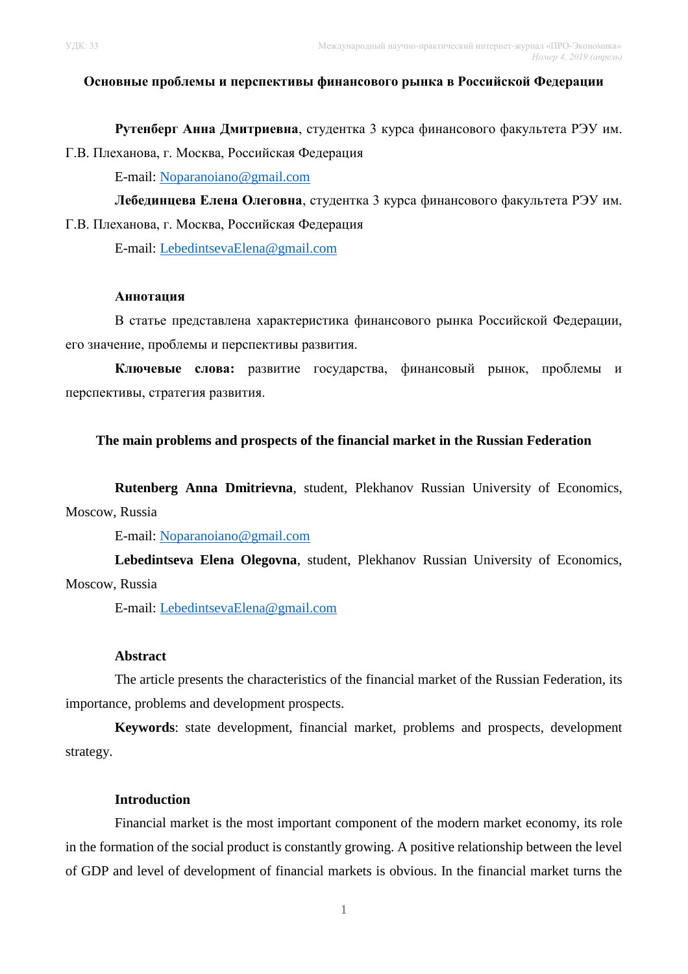#### **Основные проблемы и перспективы финансового рынка в Российской Федерации**

**Рутенберг Анна Дмитриевна**, студентка 3 курса финансового факультета РЭУ им. Г.В. Плеханова, г. Москва, Российская Федерация

E-mail: [Noparanoiano@gmail.com](mailto:Noparanoiano@gmail.com)

**Лебединцева Елена Олеговна**, студентка 3 курса финансового факультета РЭУ им. Г.В. Плеханова, г. Москва, Российская Федерация

E-mail: [LebedintsevaElena@gmail.com](mailto:LebedintsevaElena@gmail.com)

#### **Аннотация**

В статье представлена характеристика финансового рынка Российской Федерации, его значение, проблемы и перспективы развития.

**Ключевые слова:** развитие государства, финансовый рынок, проблемы и перспективы, стратегия развития.

## **The main problems and prospects of the financial market in the Russian Federation**

**Rutenberg Anna Dmitrievna**, student, Plekhanov Russian University of Economics, Moscow, Russia

E-mail: [Noparanoiano@gmail.com](mailto:Noparanoiano@gmail.com)

**Lebedintseva Elena Olegovna**, student, Plekhanov Russian University of Economics, Moscow, Russia

E-mail: [LebedintsevaElena@gmail.com](mailto:LebedintsevaElena@gmail.com)

#### **Abstract**

The article presents the characteristics of the financial market of the Russian Federation, its importance, problems and development prospects.

**Keywords**: state development, financial market, problems and prospects, development strategy.

#### **Introduction**

Financial market is the most important component of the modern market economy, its role in the formation of the social product is constantly growing. A positive relationship between the level of GDP and level of development of financial markets is obvious. In the financial market turns the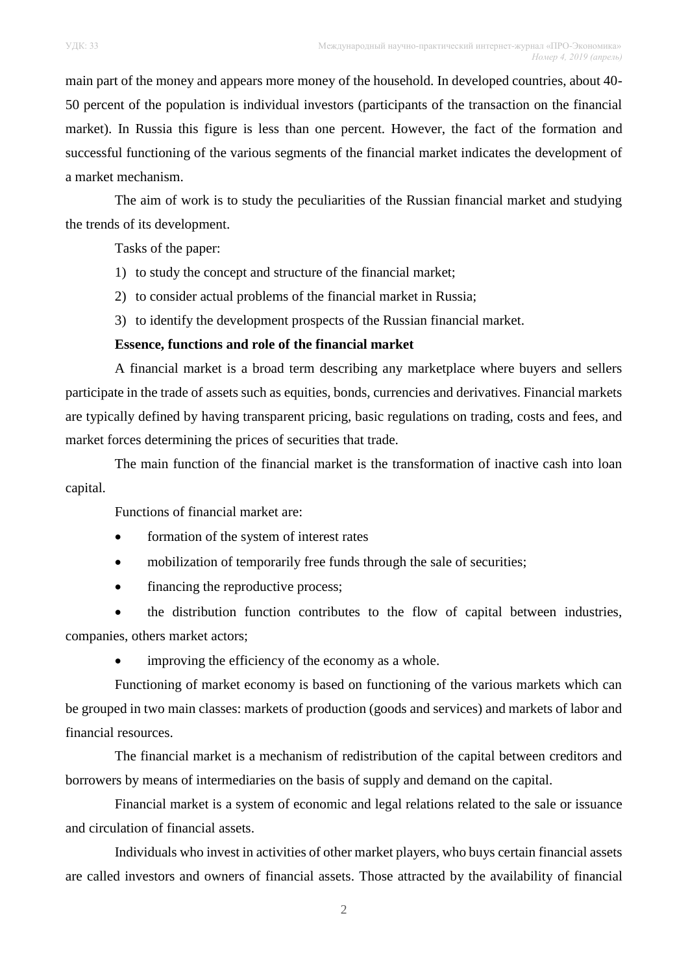main part of the money and appears more money of the household. In developed countries, about 40- 50 percent of the population is individual investors (participants of the transaction on the financial market). In Russia this figure is less than one percent. However, the fact of the formation and successful functioning of the various segments of the financial market indicates the development of a market mechanism.

The aim of work is to study the peculiarities of the Russian financial market and studying the trends of its development.

Tasks of the paper:

- 1) to study the concept and structure of the financial market;
- 2) to consider actual problems of the financial market in Russia;
- 3) to identify the development prospects of the Russian financial market.

# **Essence, functions and role of the financial market**

A financial market is a broad term describing any marketplace where buyers and sellers participate in the trade of assets such as equities, bonds, currencies and derivatives. Financial markets are typically defined by having transparent pricing, basic regulations on trading, costs and fees, and market forces determining the prices of securities that trade.

The main function of the financial market is the transformation of inactive cash into loan capital.

Functions of financial market are:

- formation of the system of interest rates
- mobilization of temporarily free funds through the sale of securities;
- financing the reproductive process;

 the distribution function contributes to the flow of capital between industries, companies, others market actors;

improving the efficiency of the economy as a whole.

Functioning of market economy is based on functioning of the various markets which can be grouped in two main classes: markets of production (goods and services) and markets of labor and financial resources.

The financial market is a mechanism of redistribution of the capital between creditors and borrowers by means of intermediaries on the basis of supply and demand on the capital.

Financial market is a system of economic and legal relations related to the sale or issuance and circulation of financial assets.

Individuals who invest in activities of other market players, who buys certain financial assets are called investors and owners of financial assets. Those attracted by the availability of financial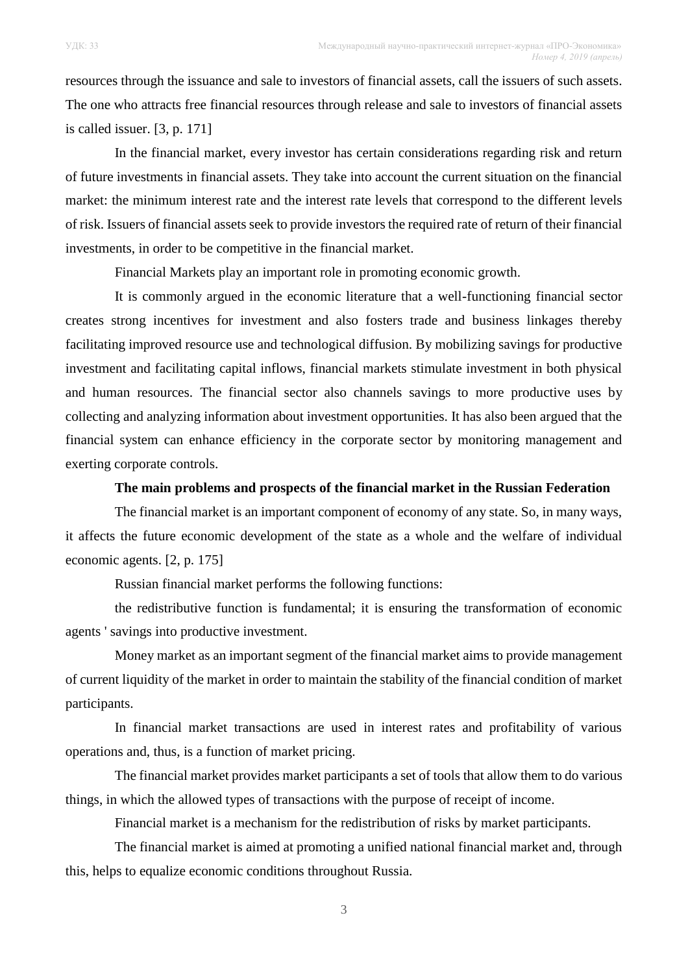resources through the issuance and sale to investors of financial assets, call the issuers of such assets. The one who attracts free financial resources through release and sale to investors of financial assets is called issuer. [3, p. 171]

In the financial market, every investor has certain considerations regarding risk and return of future investments in financial assets. They take into account the current situation on the financial market: the minimum interest rate and the interest rate levels that correspond to the different levels of risk. Issuers of financial assets seek to provide investors the required rate of return of their financial investments, in order to be competitive in the financial market.

Financial Markets play an important role in promoting economic growth.

It is commonly argued in the economic literature that a well-functioning financial sector creates strong incentives for investment and also fosters trade and business linkages thereby facilitating improved resource use and technological diffusion. By mobilizing savings for productive investment and facilitating capital inflows, financial markets stimulate investment in both physical and human resources. The financial sector also channels savings to more productive uses by collecting and analyzing information about investment opportunities. It has also been argued that the financial system can enhance efficiency in the corporate sector by monitoring management and exerting corporate controls.

## **The main problems and prospects of the financial market in the Russian Federation**

The financial market is an important component of economy of any state. So, in many ways, it affects the future economic development of the state as a whole and the welfare of individual economic agents. [2, p. 175]

Russian financial market performs the following functions:

the redistributive function is fundamental; it is ensuring the transformation of economic agents ' savings into productive investment.

Money market as an important segment of the financial market aims to provide management of current liquidity of the market in order to maintain the stability of the financial condition of market participants.

In financial market transactions are used in interest rates and profitability of various operations and, thus, is a function of market pricing.

The financial market provides market participants a set of tools that allow them to do various things, in which the allowed types of transactions with the purpose of receipt of income.

Financial market is a mechanism for the redistribution of risks by market participants.

The financial market is aimed at promoting a unified national financial market and, through this, helps to equalize economic conditions throughout Russia.

3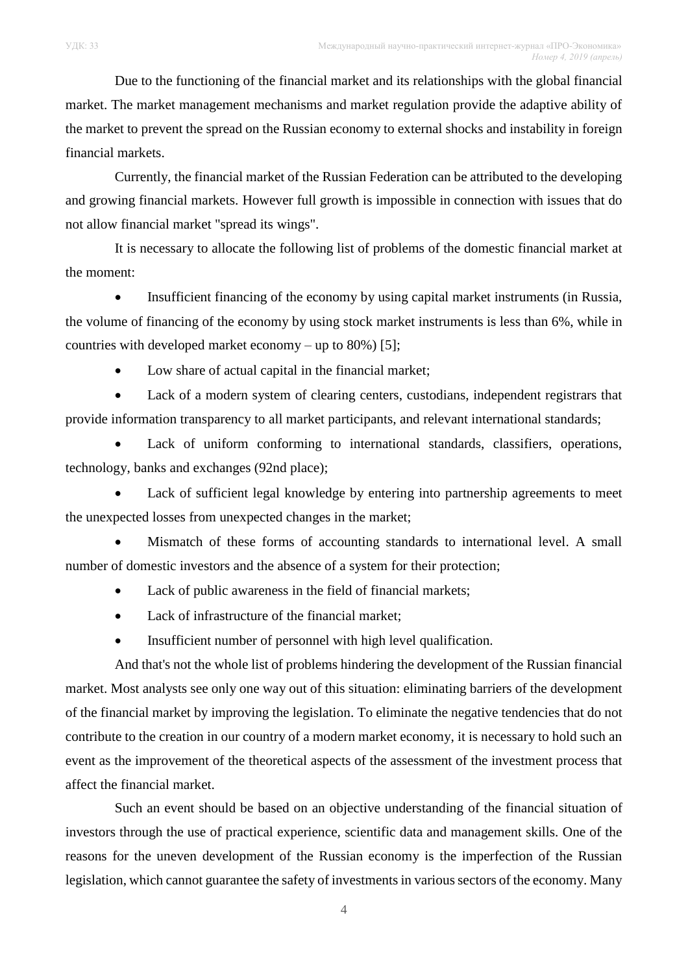market. The market management mechanisms and market regulation provide the adaptive ability of the market to prevent the spread on the Russian economy to external shocks and instability in foreign financial markets.

Currently, the financial market of the Russian Federation can be attributed to the developing and growing financial markets. However full growth is impossible in connection with issues that do not allow financial market "spread its wings".

It is necessary to allocate the following list of problems of the domestic financial market at the moment:

 Insufficient financing of the economy by using capital market instruments (in Russia, the volume of financing of the economy by using stock market instruments is less than 6%, while in countries with developed market economy – up to 80%) [5];

• Low share of actual capital in the financial market;

 Lack of a modern system of clearing centers, custodians, independent registrars that provide information transparency to all market participants, and relevant international standards;

 Lack of uniform conforming to international standards, classifiers, operations, technology, banks and exchanges (92nd place);

 Lack of sufficient legal knowledge by entering into partnership agreements to meet the unexpected losses from unexpected changes in the market;

 Mismatch of these forms of accounting standards to international level. A small number of domestic investors and the absence of a system for their protection;

- Lack of public awareness in the field of financial markets;
- Lack of infrastructure of the financial market:
- Insufficient number of personnel with high level qualification.

And that's not the whole list of problems hindering the development of the Russian financial market. Most analysts see only one way out of this situation: eliminating barriers of the development of the financial market by improving the legislation. To eliminate the negative tendencies that do not contribute to the creation in our country of a modern market economy, it is necessary to hold such an event as the improvement of the theoretical aspects of the assessment of the investment process that affect the financial market.

Such an event should be based on an objective understanding of the financial situation of investors through the use of practical experience, scientific data and management skills. One of the reasons for the uneven development of the Russian economy is the imperfection of the Russian legislation, which cannot guarantee the safety of investments in various sectors of the economy. Many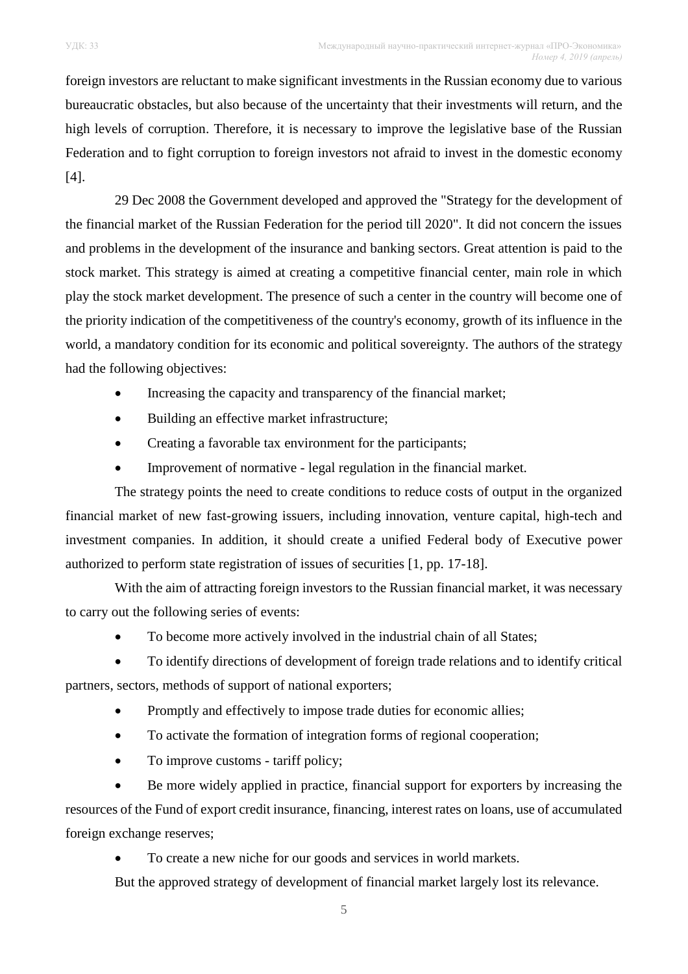foreign investors are reluctant to make significant investments in the Russian economy due to various bureaucratic obstacles, but also because of the uncertainty that their investments will return, and the high levels of corruption. Therefore, it is necessary to improve the legislative base of the Russian Federation and to fight corruption to foreign investors not afraid to invest in the domestic economy [4].

29 Dec 2008 the Government developed and approved the "Strategy for the development of the financial market of the Russian Federation for the period till 2020". It did not concern the issues and problems in the development of the insurance and banking sectors. Great attention is paid to the stock market. This strategy is aimed at creating a competitive financial center, main role in which play the stock market development. The presence of such a center in the country will become one of the priority indication of the competitiveness of the country's economy, growth of its influence in the world, a mandatory condition for its economic and political sovereignty. The authors of the strategy had the following objectives:

- Increasing the capacity and transparency of the financial market;
- Building an effective market infrastructure;
- Creating a favorable tax environment for the participants;
- Improvement of normative legal regulation in the financial market.

The strategy points the need to create conditions to reduce costs of output in the organized financial market of new fast-growing issuers, including innovation, venture capital, high-tech and investment companies. In addition, it should create a unified Federal body of Executive power authorized to perform state registration of issues of securities [1, pp. 17-18].

With the aim of attracting foreign investors to the Russian financial market, it was necessary to carry out the following series of events:

- To become more actively involved in the industrial chain of all States;
- To identify directions of development of foreign trade relations and to identify critical partners, sectors, methods of support of national exporters;
	- Promptly and effectively to impose trade duties for economic allies;
	- To activate the formation of integration forms of regional cooperation;
	- To improve customs tariff policy;

 Be more widely applied in practice, financial support for exporters by increasing the resources of the Fund of export credit insurance, financing, interest rates on loans, use of accumulated foreign exchange reserves;

To create a new niche for our goods and services in world markets.

But the approved strategy of development of financial market largely lost its relevance.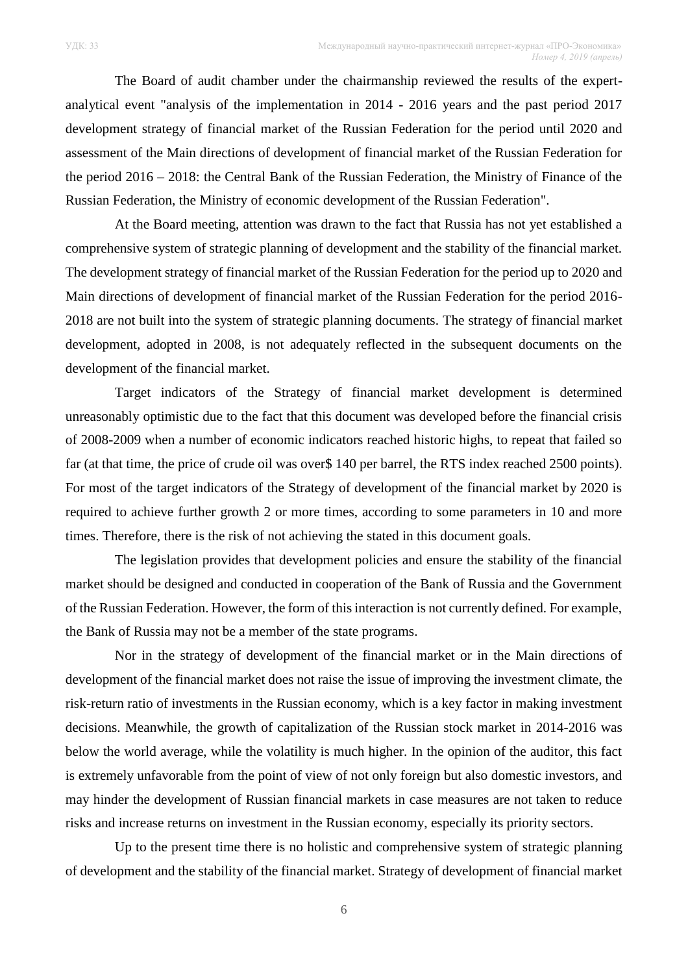The Board of audit chamber under the chairmanship reviewed the results of the expertanalytical event "analysis of the implementation in 2014 - 2016 years and the past period 2017 development strategy of financial market of the Russian Federation for the period until 2020 and assessment of the Main directions of development of financial market of the Russian Federation for the period 2016 – 2018: the Central Bank of the Russian Federation, the Ministry of Finance of the

Russian Federation, the Ministry of economic development of the Russian Federation".

At the Board meeting, attention was drawn to the fact that Russia has not yet established a comprehensive system of strategic planning of development and the stability of the financial market. The development strategy of financial market of the Russian Federation for the period up to 2020 and Main directions of development of financial market of the Russian Federation for the period 2016- 2018 are not built into the system of strategic planning documents. The strategy of financial market development, adopted in 2008, is not adequately reflected in the subsequent documents on the development of the financial market.

Target indicators of the Strategy of financial market development is determined unreasonably optimistic due to the fact that this document was developed before the financial crisis of 2008-2009 when a number of economic indicators reached historic highs, to repeat that failed so far (at that time, the price of crude oil was over\$ 140 per barrel, the RTS index reached 2500 points). For most of the target indicators of the Strategy of development of the financial market by 2020 is required to achieve further growth 2 or more times, according to some parameters in 10 and more times. Therefore, there is the risk of not achieving the stated in this document goals.

The legislation provides that development policies and ensure the stability of the financial market should be designed and conducted in cooperation of the Bank of Russia and the Government of the Russian Federation. However, the form of this interaction is not currently defined. For example, the Bank of Russia may not be a member of the state programs.

Nor in the strategy of development of the financial market or in the Main directions of development of the financial market does not raise the issue of improving the investment climate, the risk-return ratio of investments in the Russian economy, which is a key factor in making investment decisions. Meanwhile, the growth of capitalization of the Russian stock market in 2014-2016 was below the world average, while the volatility is much higher. In the opinion of the auditor, this fact is extremely unfavorable from the point of view of not only foreign but also domestic investors, and may hinder the development of Russian financial markets in case measures are not taken to reduce risks and increase returns on investment in the Russian economy, especially its priority sectors.

Up to the present time there is no holistic and comprehensive system of strategic planning of development and the stability of the financial market. Strategy of development of financial market

6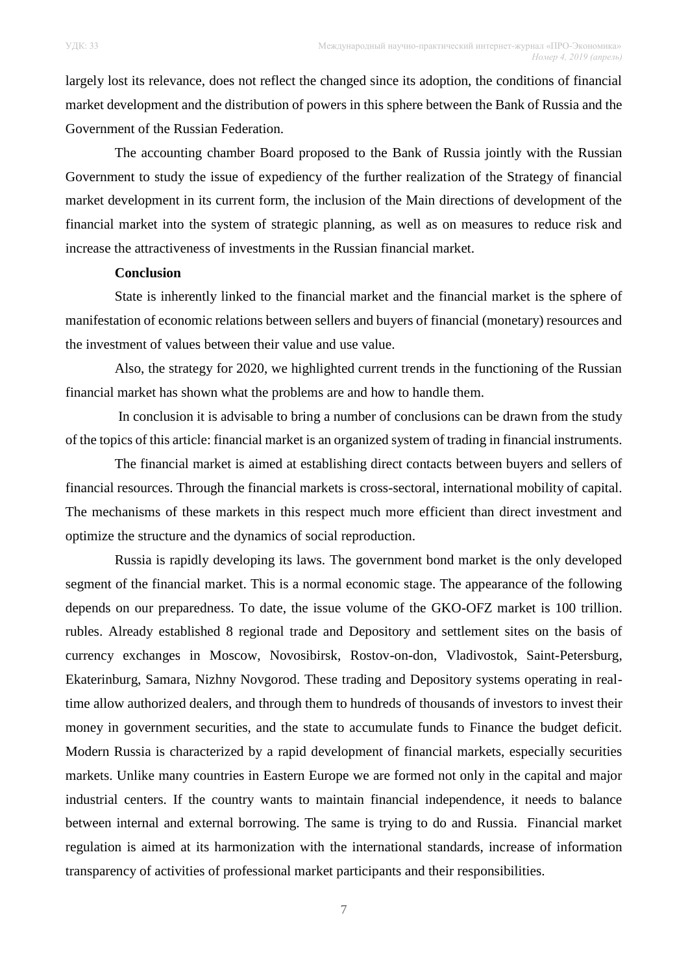largely lost its relevance, does not reflect the changed since its adoption, the conditions of financial market development and the distribution of powers in this sphere between the Bank of Russia and the Government of the Russian Federation.

The accounting chamber Board proposed to the Bank of Russia jointly with the Russian Government to study the issue of expediency of the further realization of the Strategy of financial market development in its current form, the inclusion of the Main directions of development of the financial market into the system of strategic planning, as well as on measures to reduce risk and increase the attractiveness of investments in the Russian financial market.

## **Conclusion**

State is inherently linked to the financial market and the financial market is the sphere of manifestation of economic relations between sellers and buyers of financial (monetary) resources and the investment of values between their value and use value.

Also, the strategy for 2020, we highlighted current trends in the functioning of the Russian financial market has shown what the problems are and how to handle them.

In conclusion it is advisable to bring a number of conclusions can be drawn from the study of the topics of this article: financial market is an organized system of trading in financial instruments.

The financial market is aimed at establishing direct contacts between buyers and sellers of financial resources. Through the financial markets is cross-sectoral, international mobility of capital. The mechanisms of these markets in this respect much more efficient than direct investment and optimize the structure and the dynamics of social reproduction.

Russia is rapidly developing its laws. The government bond market is the only developed segment of the financial market. This is a normal economic stage. The appearance of the following depends on our preparedness. To date, the issue volume of the GKO-OFZ market is 100 trillion. rubles. Already established 8 regional trade and Depository and settlement sites on the basis of currency exchanges in Moscow, Novosibirsk, Rostov-on-don, Vladivostok, Saint-Petersburg, Ekaterinburg, Samara, Nizhny Novgorod. These trading and Depository systems operating in realtime allow authorized dealers, and through them to hundreds of thousands of investors to invest their money in government securities, and the state to accumulate funds to Finance the budget deficit. Modern Russia is characterized by a rapid development of financial markets, especially securities markets. Unlike many countries in Eastern Europe we are formed not only in the capital and major industrial centers. If the country wants to maintain financial independence, it needs to balance between internal and external borrowing. The same is trying to do and Russia. Financial market regulation is aimed at its harmonization with the international standards, increase of information transparency of activities of professional market participants and their responsibilities.

7